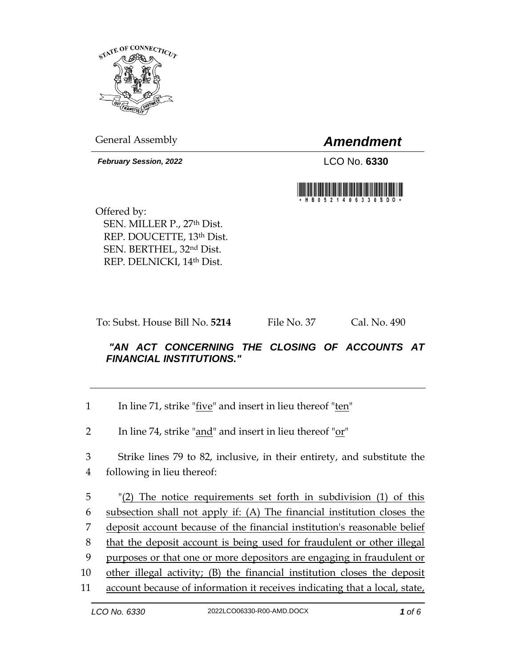

General Assembly *Amendment*

*February Session, 2022* LCO No. **6330**



Offered by: SEN. MILLER P., 27th Dist. REP. DOUCETTE, 13th Dist. SEN. BERTHEL, 32nd Dist. REP. DELNICKI, 14th Dist.

To: Subst. House Bill No. **5214** File No. 37 Cal. No. 490

## *"AN ACT CONCERNING THE CLOSING OF ACCOUNTS AT FINANCIAL INSTITUTIONS."*

- 1 In line 71, strike " $\frac{f\text{i}ve}{f}$ " and insert in lieu thereof " $\frac{ten}{f}$ "
- 2 In line 74, strike "and" and insert in lieu thereof " $or$ "

3 Strike lines 79 to 82, inclusive, in their entirety, and substitute the 4 following in lieu thereof:

 "(2) The notice requirements set forth in subdivision (1) of this subsection shall not apply if: (A) The financial institution closes the deposit account because of the financial institution's reasonable belief that the deposit account is being used for fraudulent or other illegal purposes or that one or more depositors are engaging in fraudulent or other illegal activity; (B) the financial institution closes the deposit account because of information it receives indicating that a local, state,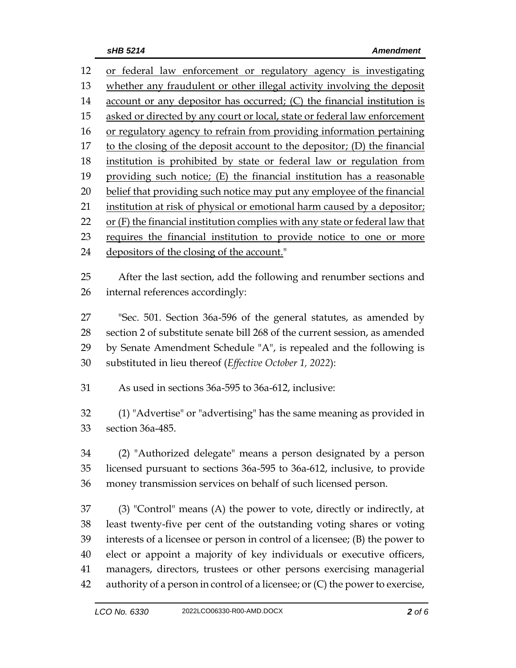| 12 | or federal law enforcement or regulatory agency is investigating              |  |  |
|----|-------------------------------------------------------------------------------|--|--|
| 13 | whether any fraudulent or other illegal activity involving the deposit        |  |  |
| 14 | account or any depositor has occurred; (C) the financial institution is       |  |  |
| 15 | asked or directed by any court or local, state or federal law enforcement     |  |  |
| 16 | or regulatory agency to refrain from providing information pertaining         |  |  |
| 17 | to the closing of the deposit account to the depositor; (D) the financial     |  |  |
| 18 | institution is prohibited by state or federal law or regulation from          |  |  |
| 19 | providing such notice; (E) the financial institution has a reasonable         |  |  |
| 20 | belief that providing such notice may put any employee of the financial       |  |  |
| 21 | institution at risk of physical or emotional harm caused by a depositor;      |  |  |
| 22 | or (F) the financial institution complies with any state or federal law that  |  |  |
| 23 | requires the financial institution to provide notice to one or more           |  |  |
| 24 | depositors of the closing of the account."                                    |  |  |
|    |                                                                               |  |  |
| 25 | After the last section, add the following and renumber sections and           |  |  |
| 26 | internal references accordingly:                                              |  |  |
| 27 | "Sec. 501. Section 36a-596 of the general statutes, as amended by             |  |  |
| 28 | section 2 of substitute senate bill 268 of the current session, as amended    |  |  |
| 29 |                                                                               |  |  |
|    | by Senate Amendment Schedule "A", is repealed and the following is            |  |  |
| 30 | substituted in lieu thereof (Effective October 1, 2022):                      |  |  |
| 31 | As used in sections 36a-595 to 36a-612, inclusive:                            |  |  |
|    |                                                                               |  |  |
| 32 | (1) "Advertise" or "advertising" has the same meaning as provided in          |  |  |
| 33 | section 36a-485.                                                              |  |  |
| 34 | (2) "Authorized delegate" means a person designated by a person               |  |  |
| 35 | licensed pursuant to sections 36a-595 to 36a-612, inclusive, to provide       |  |  |
| 36 | money transmission services on behalf of such licensed person.                |  |  |
|    |                                                                               |  |  |
| 37 | $(3)$ "Control" means $(A)$ the power to vote, directly or indirectly, at     |  |  |
| 38 | least twenty-five per cent of the outstanding voting shares or voting         |  |  |
| 39 | interests of a licensee or person in control of a licensee; (B) the power to  |  |  |
| 40 | elect or appoint a majority of key individuals or executive officers,         |  |  |
| 41 | managers, directors, trustees or other persons exercising managerial          |  |  |
| 42 | authority of a person in control of a licensee; or (C) the power to exercise, |  |  |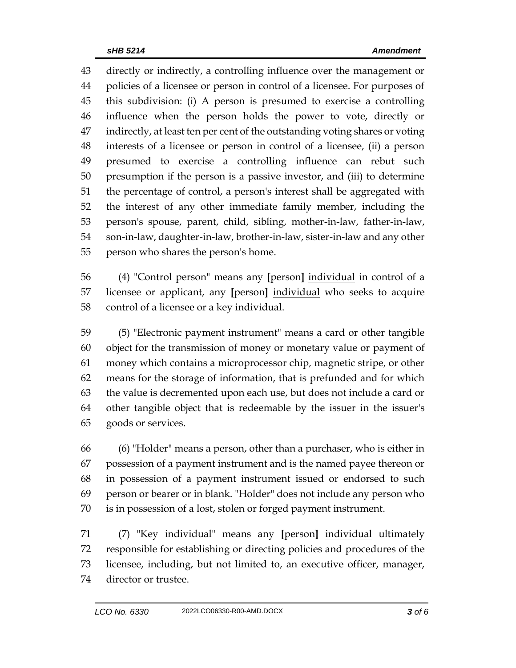directly or indirectly, a controlling influence over the management or policies of a licensee or person in control of a licensee. For purposes of this subdivision: (i) A person is presumed to exercise a controlling influence when the person holds the power to vote, directly or indirectly, at least ten per cent of the outstanding voting shares or voting interests of a licensee or person in control of a licensee, (ii) a person presumed to exercise a controlling influence can rebut such presumption if the person is a passive investor, and (iii) to determine the percentage of control, a person's interest shall be aggregated with the interest of any other immediate family member, including the person's spouse, parent, child, sibling, mother-in-law, father-in-law, son-in-law, daughter-in-law, brother-in-law, sister-in-law and any other person who shares the person's home.

 (4) "Control person" means any **[**person**]** individual in control of a licensee or applicant, any **[**person**]** individual who seeks to acquire control of a licensee or a key individual.

 (5) "Electronic payment instrument" means a card or other tangible object for the transmission of money or monetary value or payment of money which contains a microprocessor chip, magnetic stripe, or other means for the storage of information, that is prefunded and for which the value is decremented upon each use, but does not include a card or other tangible object that is redeemable by the issuer in the issuer's goods or services.

 (6) "Holder" means a person, other than a purchaser, who is either in possession of a payment instrument and is the named payee thereon or in possession of a payment instrument issued or endorsed to such person or bearer or in blank. "Holder" does not include any person who is in possession of a lost, stolen or forged payment instrument.

 (7) "Key individual" means any **[**person**]** individual ultimately responsible for establishing or directing policies and procedures of the licensee, including, but not limited to, an executive officer, manager, director or trustee.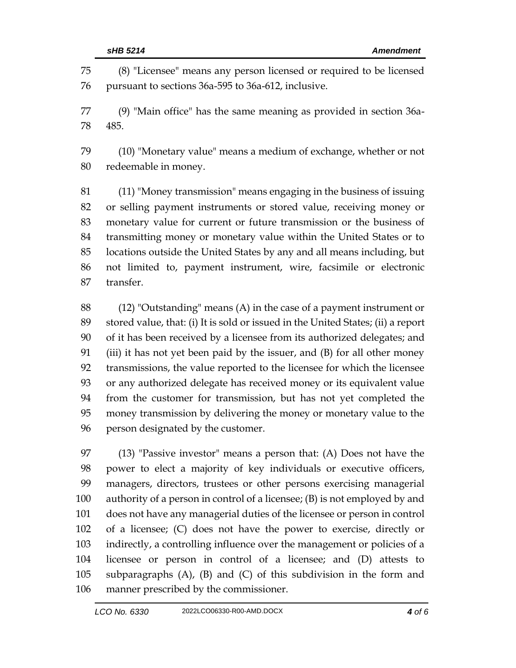(8) "Licensee" means any person licensed or required to be licensed pursuant to sections 36a-595 to 36a-612, inclusive.

 (9) "Main office" has the same meaning as provided in section 36a-485.

 (10) "Monetary value" means a medium of exchange, whether or not redeemable in money.

 (11) "Money transmission" means engaging in the business of issuing or selling payment instruments or stored value, receiving money or monetary value for current or future transmission or the business of transmitting money or monetary value within the United States or to locations outside the United States by any and all means including, but not limited to, payment instrument, wire, facsimile or electronic transfer.

 (12) "Outstanding" means (A) in the case of a payment instrument or stored value, that: (i) It is sold or issued in the United States; (ii) a report of it has been received by a licensee from its authorized delegates; and (iii) it has not yet been paid by the issuer, and (B) for all other money transmissions, the value reported to the licensee for which the licensee or any authorized delegate has received money or its equivalent value from the customer for transmission, but has not yet completed the money transmission by delivering the money or monetary value to the person designated by the customer.

 (13) "Passive investor" means a person that: (A) Does not have the power to elect a majority of key individuals or executive officers, managers, directors, trustees or other persons exercising managerial authority of a person in control of a licensee; (B) is not employed by and does not have any managerial duties of the licensee or person in control of a licensee; (C) does not have the power to exercise, directly or indirectly, a controlling influence over the management or policies of a licensee or person in control of a licensee; and (D) attests to subparagraphs (A), (B) and (C) of this subdivision in the form and manner prescribed by the commissioner.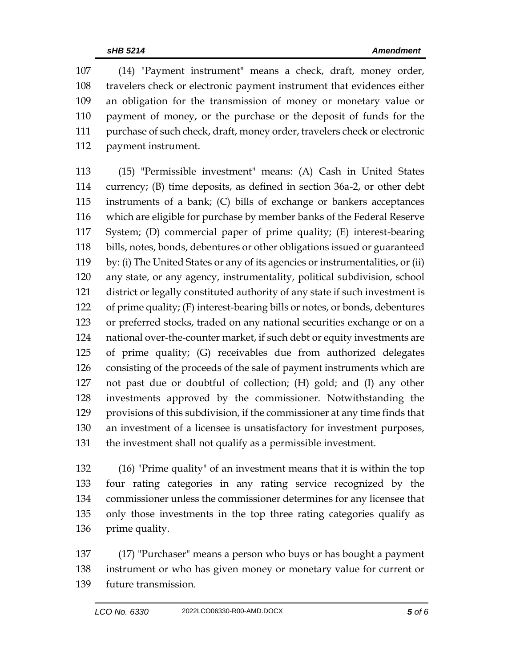(14) "Payment instrument" means a check, draft, money order, travelers check or electronic payment instrument that evidences either an obligation for the transmission of money or monetary value or payment of money, or the purchase or the deposit of funds for the purchase of such check, draft, money order, travelers check or electronic payment instrument.

 (15) "Permissible investment" means: (A) Cash in United States currency; (B) time deposits, as defined in section 36a-2, or other debt instruments of a bank; (C) bills of exchange or bankers acceptances which are eligible for purchase by member banks of the Federal Reserve System; (D) commercial paper of prime quality; (E) interest-bearing bills, notes, bonds, debentures or other obligations issued or guaranteed by: (i) The United States or any of its agencies or instrumentalities, or (ii) any state, or any agency, instrumentality, political subdivision, school district or legally constituted authority of any state if such investment is of prime quality; (F) interest-bearing bills or notes, or bonds, debentures or preferred stocks, traded on any national securities exchange or on a national over-the-counter market, if such debt or equity investments are of prime quality; (G) receivables due from authorized delegates consisting of the proceeds of the sale of payment instruments which are not past due or doubtful of collection; (H) gold; and (I) any other investments approved by the commissioner. Notwithstanding the provisions of this subdivision, if the commissioner at any time finds that an investment of a licensee is unsatisfactory for investment purposes, the investment shall not qualify as a permissible investment.

 (16) "Prime quality" of an investment means that it is within the top four rating categories in any rating service recognized by the commissioner unless the commissioner determines for any licensee that only those investments in the top three rating categories qualify as prime quality.

 (17) "Purchaser" means a person who buys or has bought a payment instrument or who has given money or monetary value for current or future transmission.